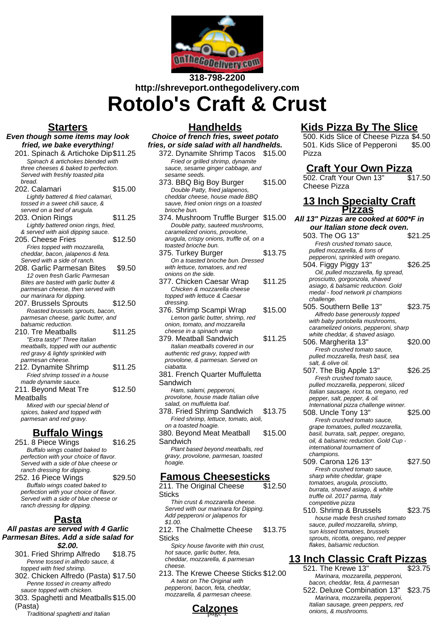

# **318-798-2200 http://shreveport.onthegodelivery.com Rotolo's Craft & Crust**

### **Starters**

- **Even though some items may look fried, we bake everything!** 201. Spinach & Artichoke Dip\$11.25 Spinach & artichokes blended with
	- three cheeses & baked to perfection. Served with freshly toasted pita bread. 202. Calamari **\$15.00**
	- Lightly battered & fried calamari, tossed in a sweet chili sauce, & served on a bed of arugula.
	- 203. Onion Rings \$11.25 Lightly battered onion rings, fried, & served with aioli dipping sauce.
	- 205. Cheese Fries \$12.50 Fries topped with mozzarella, cheddar, bacon, jalapenos & feta. Served with a side of ranch.
	- 208. Garlic Parmesan Bites \$9.50 12 oven fresh Garlic Parmesan Bites are basted with garlic butter & parmesan cheese, then served with our marinara for dipping.
	- 207. Brussels Sprouts \$12.50 Roasted brussels sprouts, bacon, parmesan cheese, garlic butter, and balsamic reduction.
	- 210. Tre Meatballs \$11.25 "Extra tasty!" Three Italian meatballs, topped with our authentic red gravy & lightly sprinkled with parmesan cheese.
	- 212. Dynamite Shrimp \$11.25 Fried shrimp tossed in a house made dynamite sauce.
	- 211. Beyond Meat Tre **Meatballs** \$12.50
		- Mixed with our special blend of spices, baked and topped with parmesan and red gravy.

## **Buffalo Wings**

251. 8 Piece Wings \$16.25 Buffalo wings coated baked to perfection with your choice of flavor. Served with a side of blue cheese or ranch dressing for dipping. 252. 16 Piece Wings \$29.50 Buffalo wings coated baked to perfection with your choice of flavor. Served with a side of blue cheese or ranch dressing for dipping.

### **Pasta**

#### **All pastas are served with 4 Garlic Parmesan Bites. Add a side salad for \$2.00.**

- 301. Fried Shrimp Alfredo \$18.75 Penne tossed in alfredo sauce, & topped with fried shrimp.
- 302. Chicken Alfredo (Pasta) \$17.50 Penne tossed in creamy alfredo sauce topped with chicken.
- 303. Spaghetti and Meatballs \$15.00 (Pasta)
	- Traditional spaghetti and Italian

### **Handhelds**

**Choice of french fries, sweet potato fries, or side salad with all handhelds.**

- 372. Dynamite Shrimp Tacos \$15.00 Fried or grilled shrimp, dynamite sauce, sesame ginger cabbage, and sesame seeds.
- 373. BBQ Big Boy Burger \$15.00 Double Patty, fried jalapenos, cheddar cheese, house made BBQ sauve, fried onion rings on a toasted brioche bun.
- 374. Mushroom Truffle Burger \$15.00 Double patty, sauteed mushrooms, caramelized onions, provolone, arugula, crispy onions, truffle oil, on a toasted brioche bun.
- 375. Turkey Burger \$13.75 On a toasted brioche bun. Dressed with lettuce, tomatoes, and red onions on the side.
- 377. Chicken Caesar Wrap \$11.25 Chicken & mozzarella cheese topped with lettuce & Caesar dressing.
- 376. Shrimp Scampi Wrap \$15.00 Lemon garlic butter, shrimp, red onion, tomato, and mozzarella cheese in a spinach wrap
- 379. Meatball Sandwich \$11.25 Italian meatballs covered in our authentic red gravy, topped with provolone, & parmesan. Served on ciabatta.
- 381. French Quarter Muffuletta Sandwich

Ham, salami, pepperoni, provolone, house made Italian olive salad, on muffuletta loaf.

- 378. Fried Shrimp Sandwich \$13.75 Fried shrimp, lettuce, tomato, aioli, on a toasted hoagie.
- 380. Beyond Meat Meatball **Sandwich** \$15.00

Plant based beyond meatballs, red gravy, provolone, parmesan, toasted hoagie.

## **Famous Cheesesticks**

- 211. The Original Cheese **Sticks** \$12.50 Thin crust & mozzarella cheese. Served with our marinara for Dipping.
- Add pepperoni or jalapenos for \$1.00.
- 212. The Chalmette Cheese **Sticks** \$13.75

Spicy house favorite with thin crust, hot sauce, garlic butter, feta, cheddar, mozzarella, & parmesan cheese.

213. The Krewe Cheese Sticks \$12.00 A twist on The Original with pepperoni, bacon, feta, cheddar, mozzarella, & parmesan cheese.

# **Calzones**

## **Kids Pizza By The Slice**

500. Kids Slice of Cheese Pizza \$4.50 501. Kids Slice of Pepperoni Pizza \$5.00

## **Craft Your Own Pizza**

502. Craft Your Own 13" Cheese Pizza \$17.50

### **13 Inch Specialty Craft Pizzas**

- **All 13" Pizzas are cooked at 600\*F in our Italian stone deck oven.** 503. The OG 13" \$21.25
	- Fresh crushed tomato sauce, pulled mozzarella, & tons of pepperoni, sprinkled with oregano.
	- 504. Figgy Piggy 13" \$26.25 Oil, pulled mozzarella, fig spread, prosciutto, gorgonzola, shaved asiago, & balsamic reduction. Gold medal - food network pi champions challenge.
	- 505. Southern Belle 13" \$23.75 Alfredo base generously topped with baby portobella mushrooms, caramelized onions, pepperoni, sharp white cheddar, & shaved asiago.
	- 506. Margherita 13" \$20.00 Fresh crushed tomato sauce, pulled mozzarella, fresh basil, sea salt, & olive oil.
	- 507. The Big Apple 13" \$26.25 Fresh crushed tomato sauce, pulled mozzarella, pepperoni, sliced Italian sausage, ricot ta, oregano, red pepper, salt, pepper, & oil. International pizza challenge winner.
	- 508. Uncle Tony 13" \$25.00 Fresh crushed tomato sauce, grape tomatoes, pulled mozzarella, basil, burrata, salt, pepper, oregano, oil, & balsamic reduction. Gold Cup international tournament of champions. 509. Carona 126 13" \$27.50
	- Fresh crushed tomato sauce, sharp white cheddar, grape tomatoes, arugula, prosciutto, burrata, shaved asiago, & white truffle oil. 2017 parma, Italy competitive pizza
	- 510. Shrimp & Brussels \$23.75 house made fresh crushed tomato sauce, pulled mozzarella, shrimp, sun kissed tomatoes, brussels sprouts, ricotta, oregano, red pepper flakes, balsamic reduction.

# **13 Inch Classic Craft Pizzas**

521. The Krewe 13" \$23.75 Marinara, mozzarella, pepperoni, bacon, cheddar, feta, & parmesan 522. Deluxe Combination 13" \$23.75 Marinara, mozzarella, pepperoni, Italian sausage, green peppers, red onions, & mushrooms.